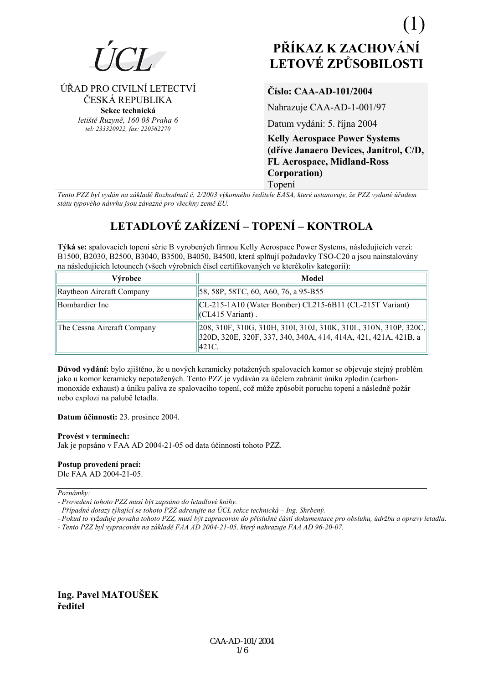

# ÚŘAD PRO CIVILNÍ LETECTVÍ ČESKÁ REPUBLIKA Sekce technická

letiště Ruzyně, 160 08 Praha 6 tel: 233320922, fax: 220562270

# Číslo: CAA-AD-101/2004

Nahrazuje CAA-AD-1-001/97

Datum vydání: 5. října 2004

**Kelly Aerospace Power Systems** (dříve Janaero Devices, Janitrol, C/D, **FL Aerospace, Midland-Ross** Corporation) Topení

Tento PZZ byl vydán na základě Rozhodnutí č. 2/2003 výkonného ředitele EASA, které ustanovuje, že PZZ vydané úřadem státu typového návrhu jsou závazné pro všechny země EU.

# LETADLOVÉ ZAŘÍZENÍ – TOPENÍ – KONTROLA

Týká se: spalovacích topení série B vyrobených firmou Kelly Aerospace Power Systems, následujících verzí: B1500, B2030, B2500, B3040, B3500, B4050, B4500, která splňují požadavky TSO-C20 a jsou nainstalovány na následujících letounech (všech výrobních čísel certifikovaných ve kterékoliv kategorii):

| Výrobce                     | Model                                                                                                                                          |
|-----------------------------|------------------------------------------------------------------------------------------------------------------------------------------------|
| Raytheon Aircraft Company   | [58, 58P, 58TC, 60, A60, 76, a 95-B55]                                                                                                         |
| Bombardier Inc              | CL-215-1A10 (Water Bomber) CL215-6B11 (CL-215T Variant)<br>$\vert$ (CL415 Variant).                                                            |
| The Cessna Aircraft Company | [208, 310F, 310G, 310H, 310I, 310J, 310K, 310L, 310N, 310P, 320C,<br>320D, 320E, 320F, 337, 340, 340A, 414, 414A, 421, 421A, 421B, a<br> 421C. |

Důvod vydání: bylo zjištěno, že u nových keramicky potažených spalovacích komor se objevuje stejný problém jako u komor keramicky nepotažených. Tento PZZ je vydáván za účelem zabránit úniku zplodin (carbonmonoxide exhaust) a úniku paliva ze spalovacího topení, což může způsobit poruchu topení a následně požár nebo explozi na palubě letadla.

Datum účinnosti: 23. prosince 2004.

#### Provést v termínech:

Jak je popsáno v FAA AD 2004-21-05 od data účinnosti tohoto PZZ.

# Postup provedení prací:

Dle FAA AD 2004-21-05.

Poznámky:

- Případné dotazy týkající se tohoto PZZ adresujte na ÚCL sekce technická – Ing. Shrbený.

- Pokud to vyžaduje povaha tohoto PZZ, musí být zapracován do příslušné části dokumentace pro obsluhu, údržbu a opravy letadla.

- Tento PZZ byl vypracován na základě FAA AD 2004-21-05, který nahrazuje FAA AD 96-20-07.

Ing. Pavel MATOUŠEK ředitel

<sup>-</sup> Provedení tohoto PZZ musí být zapsáno do letadlové knihy.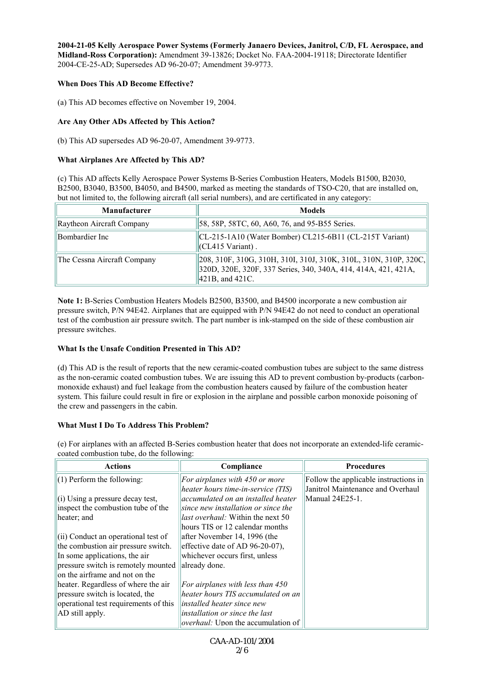**2004-21-05 Kelly Aerospace Power Systems (Formerly Janaero Devices, Janitrol, C/D, FL Aerospace, and Midland-Ross Corporation):** Amendment 39-13826; Docket No. FAA-2004-19118; Directorate Identifier 2004-CE-25-AD; Supersedes AD 96-20-07; Amendment 39-9773.

#### **When Does This AD Become Effective?**

(a) This AD becomes effective on November 19, 2004.

## **Are Any Other ADs Affected by This Action?**

(b) This AD supersedes AD 96-20-07, Amendment 39-9773.

## **What Airplanes Are Affected by This AD?**

(c) This AD affects Kelly Aerospace Power Systems B-Series Combustion Heaters, Models B1500, B2030, B2500, B3040, B3500, B4050, and B4500, marked as meeting the standards of TSO-C20, that are installed on, but not limited to, the following aircraft (all serial numbers), and are certificated in any category:

| <b>Manufacturer</b>         | <b>Models</b>                                                                                                                                                      |
|-----------------------------|--------------------------------------------------------------------------------------------------------------------------------------------------------------------|
| Raytheon Aircraft Company   | [58, 58P, 58TC, 60, A60, 76, and 95-B55 Series.]                                                                                                                   |
| Bombardier Inc              | $ CL-215-1A10$ (Water Bomber) $CL215-6B11$ (CL-215T Variant)<br>$\vert$ (CL415 Variant).                                                                           |
| The Cessna Aircraft Company | [208, 310F, 310G, 310H, 310I, 310J, 310K, 310L, 310N, 310P, 320C,<br>320D, 320E, 320F, 337 Series, 340, 340A, 414, 414A, 421, 421A,<br>$\vert 421B$ , and $421C$ . |

**Note 1:** B-Series Combustion Heaters Models B2500, B3500, and B4500 incorporate a new combustion air pressure switch, P/N 94E42. Airplanes that are equipped with P/N 94E42 do not need to conduct an operational test of the combustion air pressure switch. The part number is ink-stamped on the side of these combustion air pressure switches.

# **What Is the Unsafe Condition Presented in This AD?**

(d) This AD is the result of reports that the new ceramic-coated combustion tubes are subject to the same distress as the non-ceramic coated combustion tubes. We are issuing this AD to prevent combustion by-products (carbonmonoxide exhaust) and fuel leakage from the combustion heaters caused by failure of the combustion heater system. This failure could result in fire or explosion in the airplane and possible carbon monoxide poisoning of the crew and passengers in the cabin.

#### **What Must I Do To Address This Problem?**

(e) For airplanes with an affected B-Series combustion heater that does not incorporate an extended-life ceramiccoated combustion tube, do the following:

| <b>Actions</b>                                    | Compliance                                | <b>Procedures</b>                     |
|---------------------------------------------------|-------------------------------------------|---------------------------------------|
| $\parallel$ (1) Perform the following:            | For airplanes with $450$ or more          | Follow the applicable instructions in |
|                                                   | heater hours time-in-service (TIS)        | Janitrol Maintenance and Overhaul     |
| $\left  \right $ (i) Using a pressure decay test, | accumulated on an installed heater        | Manual 24E25-1.                       |
| inspect the combustion tube of the                | since new installation or since the       |                                       |
| heater; and                                       | <i>llast overhaul:</i> Within the next 50 |                                       |
|                                                   | hours TIS or 12 calendar months           |                                       |
| $\left  \right $ Conduct an operational test of   | after November 14, 1996 (the              |                                       |
| the combustion air pressure switch.               | effective date of AD 96-20-07),           |                                       |
| In some applications, the air                     | whichever occurs first, unless            |                                       |
| pressure switch is remotely mounted               | already done.                             |                                       |
| on the airframe and not on the                    |                                           |                                       |
| heater. Regardless of where the air               | For airplanes with less than $450$        |                                       |
| pressure switch is located, the                   | heater hours TIS accumulated on an        |                                       |
| operational test requirements of this             | <i>linstalled heater since new</i>        |                                       |
| AD still apply.                                   | installation or since the last            |                                       |
|                                                   | <i>overhaul:</i> Upon the accumulation of |                                       |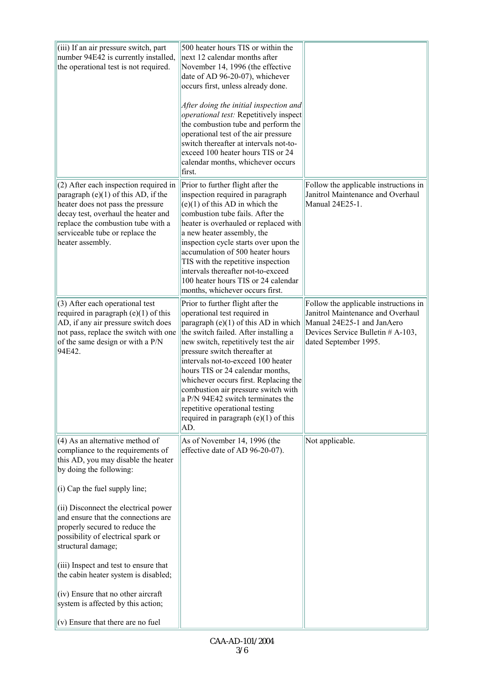| (iii) If an air pressure switch, part<br>number 94E42 is currently installed,<br>the operational test is not required.                                                                                                                                                                                                                                                                                                                                                                                                                                 | 500 heater hours TIS or within the<br>next 12 calendar months after<br>November 14, 1996 (the effective<br>date of AD 96-20-07), whichever<br>occurs first, unless already done.<br>After doing the initial inspection and<br><i>operational test:</i> Repetitively inspect<br>the combustion tube and perform the<br>operational test of the air pressure<br>switch thereafter at intervals not-to-<br>exceed 100 heater hours TIS or 24<br>calendar months, whichever occurs<br>first.                            |                                                                                                                                                                        |
|--------------------------------------------------------------------------------------------------------------------------------------------------------------------------------------------------------------------------------------------------------------------------------------------------------------------------------------------------------------------------------------------------------------------------------------------------------------------------------------------------------------------------------------------------------|---------------------------------------------------------------------------------------------------------------------------------------------------------------------------------------------------------------------------------------------------------------------------------------------------------------------------------------------------------------------------------------------------------------------------------------------------------------------------------------------------------------------|------------------------------------------------------------------------------------------------------------------------------------------------------------------------|
| (2) After each inspection required in<br>paragraph (e)(1) of this AD, if the<br>heater does not pass the pressure<br>decay test, overhaul the heater and<br>replace the combustion tube with a<br>serviceable tube or replace the<br>heater assembly.                                                                                                                                                                                                                                                                                                  | Prior to further flight after the<br>inspection required in paragraph<br>$(e)(1)$ of this AD in which the<br>combustion tube fails. After the<br>heater is overhauled or replaced with<br>a new heater assembly, the<br>inspection cycle starts over upon the<br>accumulation of 500 heater hours<br>TIS with the repetitive inspection<br>intervals thereafter not-to-exceed<br>100 heater hours TIS or 24 calendar<br>months, whichever occurs first.                                                             | Follow the applicable instructions in<br>Janitrol Maintenance and Overhaul<br>Manual 24E25-1.                                                                          |
| (3) After each operational test<br>required in paragraph $(e)(1)$ of this<br>AD, if any air pressure switch does<br>not pass, replace the switch with one<br>of the same design or with a P/N<br>94E42.                                                                                                                                                                                                                                                                                                                                                | Prior to further flight after the<br>operational test required in<br>paragraph $(e)(1)$ of this AD in which<br>the switch failed. After installing a<br>new switch, repetitively test the air<br>pressure switch thereafter at<br>intervals not-to-exceed 100 heater<br>hours TIS or 24 calendar months,<br>whichever occurs first. Replacing the<br>combustion air pressure switch with<br>$ a P/N 94E42$ switch terminates the<br>repetitive operational testing<br>required in paragraph $(e)(1)$ of this<br>AD. | Follow the applicable instructions in<br>Janitrol Maintenance and Overhaul<br>Manual 24E25-1 and JanAero<br>Devices Service Bulletin # A-103,<br>dated September 1995. |
| (4) As an alternative method of<br>compliance to the requirements of<br>this AD, you may disable the heater<br>by doing the following:<br>(i) Cap the fuel supply line;<br>(ii) Disconnect the electrical power<br>and ensure that the connections are<br>properly secured to reduce the<br>possibility of electrical spark or<br>structural damage;<br>(iii) Inspect and test to ensure that<br>the cabin heater system is disabled;<br>(iv) Ensure that no other aircraft<br>system is affected by this action;<br>(v) Ensure that there are no fuel | As of November 14, 1996 (the<br>effective date of AD 96-20-07).                                                                                                                                                                                                                                                                                                                                                                                                                                                     | Not applicable.                                                                                                                                                        |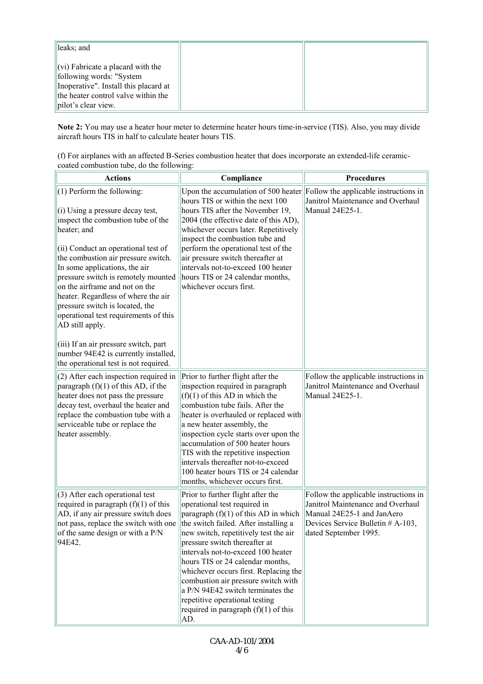| lleaks; and                                                                                                                                                                                                           |  |
|-----------------------------------------------------------------------------------------------------------------------------------------------------------------------------------------------------------------------|--|
| $\left\vert \left( \mathrm{vi}\right) \right\rangle$ Fabricate a placard with the<br>following words: "System"<br>Inoperative". Install this placard at<br>the heater control valve within the<br>pilot's clear view. |  |

**Note 2:** You may use a heater hour meter to determine heater hours time-in-service (TIS). Also, you may divide aircraft hours TIS in half to calculate heater hours TIS.

| (f) For airplanes with an affected B-Series combustion heater that does incorporate an extended-life ceramic- |  |
|---------------------------------------------------------------------------------------------------------------|--|
| coated combustion tube, do the following:                                                                     |  |

| <b>Actions</b>                                                                                                                                                                                                                                                                                                                                                                                                                                                                                                                                                                | Compliance                                                                                                                                                                                                                                                                                                                                                                                                                                                                                                       | <b>Procedures</b>                                                                                                                                                        |
|-------------------------------------------------------------------------------------------------------------------------------------------------------------------------------------------------------------------------------------------------------------------------------------------------------------------------------------------------------------------------------------------------------------------------------------------------------------------------------------------------------------------------------------------------------------------------------|------------------------------------------------------------------------------------------------------------------------------------------------------------------------------------------------------------------------------------------------------------------------------------------------------------------------------------------------------------------------------------------------------------------------------------------------------------------------------------------------------------------|--------------------------------------------------------------------------------------------------------------------------------------------------------------------------|
| $(1)$ Perform the following:<br>(i) Using a pressure decay test,<br>inspect the combustion tube of the<br>heater; and<br>(ii) Conduct an operational test of<br>the combustion air pressure switch.<br>In some applications, the air<br>pressure switch is remotely mounted<br>on the airframe and not on the<br>heater. Regardless of where the air<br>pressure switch is located, the<br>operational test requirements of this<br>AD still apply.<br>(iii) If an air pressure switch, part<br>number 94E42 is currently installed,<br>the operational test is not required. | Upon the accumulation of 500 heater Follow the applicable instructions in<br>hours TIS or within the next 100<br>hours TIS after the November 19,<br>2004 (the effective date of this AD),<br>whichever occurs later. Repetitively<br>inspect the combustion tube and<br>perform the operational test of the<br>air pressure switch thereafter at<br>intervals not-to-exceed 100 heater<br>hours TIS or 24 calendar months,<br>whichever occurs first.                                                           | Janitrol Maintenance and Overhaul<br>Manual 24E25-1.                                                                                                                     |
| (2) After each inspection required in<br>paragraph $(f)(1)$ of this AD, if the<br>heater does not pass the pressure<br>decay test, overhaul the heater and<br>replace the combustion tube with a<br>serviceable tube or replace the<br>heater assembly.                                                                                                                                                                                                                                                                                                                       | Prior to further flight after the<br>inspection required in paragraph<br>$(f)(1)$ of this AD in which the<br>combustion tube fails. After the<br>heater is overhauled or replaced with<br>a new heater assembly, the<br>inspection cycle starts over upon the<br>accumulation of 500 heater hours<br>TIS with the repetitive inspection<br>intervals thereafter not-to-exceed<br>100 heater hours TIS or 24 calendar<br>months, whichever occurs first.                                                          | Follow the applicable instructions in<br>Janitrol Maintenance and Overhaul<br>Manual 24E25-1.                                                                            |
| (3) After each operational test<br>required in paragraph $(f)(1)$ of this<br>AD, if any air pressure switch does<br>not pass, replace the switch with one<br>of the same design or with a P/N<br>94E42.                                                                                                                                                                                                                                                                                                                                                                       | Prior to further flight after the<br>operational test required in<br>paragraph $(f)(1)$ of this AD in which<br>the switch failed. After installing a<br>new switch, repetitively test the air<br>pressure switch thereafter at<br>intervals not-to-exceed 100 heater<br>hours TIS or 24 calendar months,<br>whichever occurs first. Replacing the<br>combustion air pressure switch with<br>a P/N 94E42 switch terminates the<br>repetitive operational testing<br>required in paragraph $(f)(1)$ of this<br>AD. | Follow the applicable instructions in<br>Janitrol Maintenance and Overhaul<br>Manual 24E25-1 and JanAero<br>Devices Service Bulletin $#A-103$ ,<br>dated September 1995. |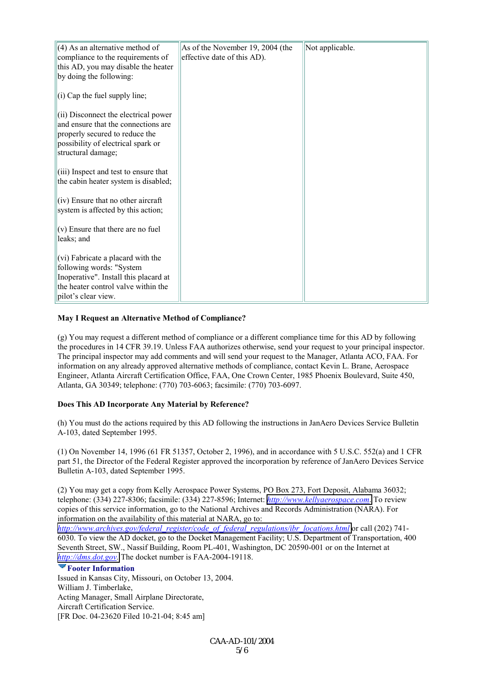| $(4)$ As an alternative method of                                 | As of the November 19, 2004 (the | Not applicable. |
|-------------------------------------------------------------------|----------------------------------|-----------------|
| compliance to the requirements of                                 | effective date of this AD).      |                 |
| this AD, you may disable the heater                               |                                  |                 |
| by doing the following:                                           |                                  |                 |
|                                                                   |                                  |                 |
| $(i)$ Cap the fuel supply line;                                   |                                  |                 |
|                                                                   |                                  |                 |
| (ii) Disconnect the electrical power                              |                                  |                 |
| and ensure that the connections are                               |                                  |                 |
| properly secured to reduce the                                    |                                  |                 |
| possibility of electrical spark or                                |                                  |                 |
| structural damage;                                                |                                  |                 |
| $(iii)$ Inspect and test to ensure that                           |                                  |                 |
| the cabin heater system is disabled;                              |                                  |                 |
|                                                                   |                                  |                 |
| $\vert$ (iv) Ensure that no other aircraft                        |                                  |                 |
| system is affected by this action;                                |                                  |                 |
|                                                                   |                                  |                 |
| $(v)$ Ensure that there are no fuel                               |                                  |                 |
| leaks; and                                                        |                                  |                 |
|                                                                   |                                  |                 |
| (vi) Fabricate a placard with the                                 |                                  |                 |
| following words: "System<br>Inoperative". Install this placard at |                                  |                 |
| the heater control valve within the                               |                                  |                 |
| pilot's clear view.                                               |                                  |                 |
|                                                                   |                                  |                 |

#### **May I Request an Alternative Method of Compliance?**

(g) You may request a different method of compliance or a different compliance time for this AD by following the procedures in 14 CFR 39.19. Unless FAA authorizes otherwise, send your request to your principal inspector. The principal inspector may add comments and will send your request to the Manager, Atlanta ACO, FAA. For information on any already approved alternative methods of compliance, contact Kevin L. Brane, Aerospace Engineer, Atlanta Aircraft Certification Office, FAA, One Crown Center, 1985 Phoenix Boulevard, Suite 450, Atlanta, GA 30349; telephone: (770) 703-6063; facsimile: (770) 703-6097.

#### **Does This AD Incorporate Any Material by Reference?**

(h) You must do the actions required by this AD following the instructions in JanAero Devices Service Bulletin A-103, dated September 1995.

(1) On November 14, 1996 (61 FR 51357, October 2, 1996), and in accordance with 5 U.S.C. 552(a) and 1 CFR part 51, the Director of the Federal Register approved the incorporation by reference of JanAero Devices Service Bulletin A-103, dated September 1995.

(2) You may get a copy from Kelly Aerospace Power Systems, PO Box 273, Fort Deposit, Alabama 36032; telephone: (334) 227-8306; facsimile: (334) 227-8596; Internet: *[http://www.kellyaerospace.com](http://www.kellyaerospace.com/)*. To review copies of this service information, go to the National Archives and Records Administration (NARA). For information on the availability of this material at NARA, go to:

*[http://www.archives.gov/federal\\_register/code\\_of\\_federal\\_regulations/ibr\\_locations.html](http://www.archives.gov/federal_register/code_of_federal_regulations/ibr_locations.html)* or call (202) 741- 6030. To view the AD docket, go to the Docket Management Facility; U.S. Department of Transportation, 400 Seventh Street, SW., Nassif Building, Room PL-401, Washington, DC 20590-001 or on the Internet at *[http://dms.dot.gov.](http://dms.dot.gov/)* The docket number is FAA-2004-19118.

#### **Footer Information**

Issued in Kansas City, Missouri, on October 13, 2004. William J. Timberlake, Acting Manager, Small Airplane Directorate, Aircraft Certification Service. [FR Doc. 04-23620 Filed 10-21-04; 8:45 am]